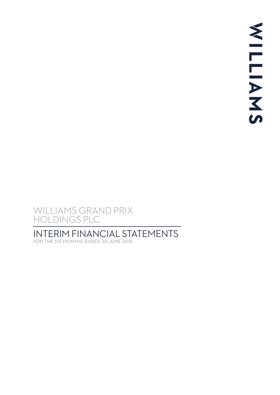# INTERIM FINANCIAL STATEMENTS

FOR THE SIX MONTHS ENDED 30 JUNE 2016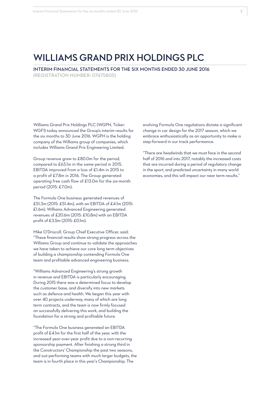INTERIM FINANCIAL STATEMENTS FOR THE SIX MONTHS ENDED 30 JUNE 2016 (REGISTRATION NUMBER: 07475805)

Williams Grand Prix Holdings PLC (WGPH, Ticker: WGF1) today announced the Group's interim results for the six months to 30 June 2016. WGPH is the holding company of the Williams group of companies, which includes Williams Grand Prix Engineering Limited.

Group revenue grew to £80.0m for the period, compared to £63.1m in the same period in 2015. EBITDA improved from a loss of £1.4m in 2015 to a profit of £7.8m in 2016. The Group generated operating free cash flow of £13.0m for the six-month period (2015: £7.0m).

The Formula One business generated revenues of £51.3m (2015: £51.4m), with an EBITDA of £4.1m (2015: £1.6m). Williams Advanced Engineering generated revenues of £20.6m (2015: £10.8m) with an EBITDA profit of £3.5m (2015: £0.1m).

Mike O'Driscoll, Group Chief Executive Officer, said; "These financial results show strong progress across the Williams Group and continue to validate the approaches we have taken to achieve our core long term objectives of building a championship contending Formula One team and profitable advanced engineering business.

"Williams Advanced Engineering's strong growth in revenue and EBITDA is particularly encouraging. During 2015 there was a determined focus to develop the customer base, and diversify into new markets such as defence and health. We began this year with over 40 projects underway, many of which are long term contracts, and the team is now firmly focused on successfully delivering this work, and building the foundation for a strong and profitable future.

"The Formula One business generated an EBITDA profit of £4.1m for the first half of the year, with the increased year-over-year profit due to a non-recurring sponsorship payment. After finishing a strong third in the Constructors' Championship the past two seasons, and out-performing teams with much larger budgets, the team is in fourth place in this year's Championship. The

evolving Formula One regulations dictate a significant change in car design for the 2017 season, which we embrace enthusiastically as an opportunity to make a step-forward in our track performance.

"There are headwinds that we must face in the second half of 2016 and into 2017, notably the increased costs that are incurred during a period of regulatory change in the sport, and predicted uncertainty in many world economies, and this will impact our near term results."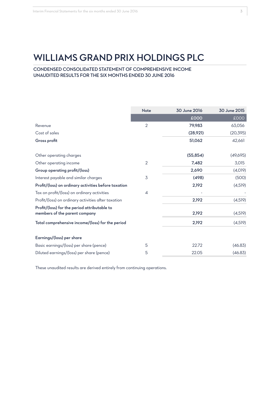CONDENSED CONSOLIDATED STATEMENT OF COMPREHENSIVE INCOME UNAUDITED RESULTS FOR THE SIX MONTHS ENDED 30 JUNE 2016

|                                                                               | <b>Note</b>    | 30 June 2016 | 30 June 2015 |
|-------------------------------------------------------------------------------|----------------|--------------|--------------|
|                                                                               |                | £000         | £000         |
| Revenue                                                                       | 2              | 79,983       | 63,056       |
| Cost of sales                                                                 |                | (28,921)     | (20, 395)    |
| Gross profit                                                                  |                | 51,062       | 42,661       |
| Other operating charges                                                       |                | (55, 854)    | (49,695)     |
| Other operating income                                                        | $\overline{2}$ | 7,482        | 3,015        |
| Group operating profit/(loss)                                                 |                | 2,690        | (4,019)      |
| Interest payable and similar charges                                          | 3              | (498)        | (500)        |
| Profit/(loss) on ordinary activities before taxation                          |                | 2,192        | (4,519)      |
| Tax on profit/(loss) on ordinary activities                                   | $\overline{4}$ |              |              |
| Profit/(loss) on ordinary activities after taxation                           |                | 2,192        | (4,519)      |
| Profit/(loss) for the period attributable to<br>members of the parent company |                | 2,192        | (4,519)      |
| Total comprehensive income/(loss) for the period                              |                | 2,192        | (4,519)      |
| Earnings/(loss) per share                                                     |                |              |              |
| Basic earnings/(loss) per share (pence)                                       | 5              | 22.72        | (46.83)      |
| Diluted earnings/(loss) per share (pence)                                     | 5              | 22.05        | (46.83)      |

These unaudited results are derived entirely from continuing operations.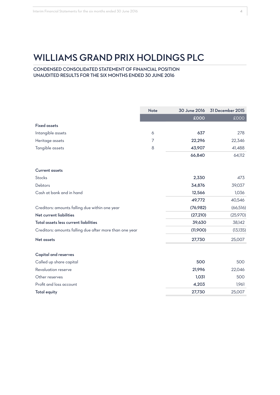CONDENSED CONSOLIDATED STATEMENT OF FINANCIAL POSITION UNAUDITED RESULTS FOR THE SIX MONTHS ENDED 30 JUNE 2016

| Intangible assets<br>Heritage assets<br>Tangible assets<br><b>Current assets</b><br>Stocks<br>Debtors<br>Cash at bank and in hand<br>Creditors: amounts falling due within one year<br>Net current liabilities | 6<br>7 | £000<br>637 | £000      |
|----------------------------------------------------------------------------------------------------------------------------------------------------------------------------------------------------------------|--------|-------------|-----------|
| <b>Fixed assets</b>                                                                                                                                                                                            |        |             |           |
|                                                                                                                                                                                                                |        |             |           |
|                                                                                                                                                                                                                |        |             | 278       |
|                                                                                                                                                                                                                |        | 22,296      | 22,346    |
|                                                                                                                                                                                                                | 8      | 43,907      | 41,488    |
|                                                                                                                                                                                                                |        | 66,840      | 64,112    |
|                                                                                                                                                                                                                |        |             |           |
|                                                                                                                                                                                                                |        | 2,330       | 473       |
|                                                                                                                                                                                                                |        | 34,876      | 39,037    |
|                                                                                                                                                                                                                |        | 12,566      | 1,036     |
|                                                                                                                                                                                                                |        | 49,772      | 40,546    |
|                                                                                                                                                                                                                |        | (76,982)    | (66, 516) |
|                                                                                                                                                                                                                |        | (27, 210)   | (25,970)  |
| Total assets less current liabilities                                                                                                                                                                          |        | 39,630      | 38,142    |
| Creditors: amounts falling due after more than one year                                                                                                                                                        |        | (11,900)    | (13, 135) |
| <b>Net assets</b>                                                                                                                                                                                              |        | 27,730      | 25,007    |
| <b>Capital and reserves</b>                                                                                                                                                                                    |        |             |           |
| Called up share capital                                                                                                                                                                                        |        | 500         | 500       |
| Revaluation reserve                                                                                                                                                                                            |        | 21,996      | 22,046    |
| Other reserves                                                                                                                                                                                                 |        | 1,031       | 500       |
| Profit and loss account                                                                                                                                                                                        |        | 4,203       | 1,961     |
| <b>Total equity</b>                                                                                                                                                                                            |        | 27,730      | 25,007    |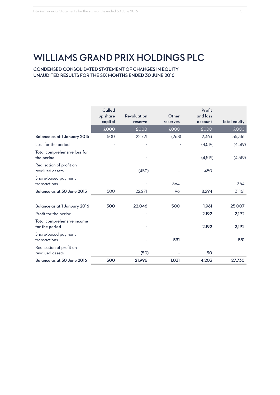CONDENSED CONSOLIDATED STATEMENT OF CHANGES IN EQUITY UNAUDITED RESULTS FOR THE SIX MONTHS ENDED 30 JUNE 2016

|                                                                       | Called<br>up share<br>capital | Revaluation<br>reserve | Other<br>reserves | Profit<br>and loss<br>account | <b>Total equity</b> |
|-----------------------------------------------------------------------|-------------------------------|------------------------|-------------------|-------------------------------|---------------------|
|                                                                       | £000                          | £000                   | £000              | £000                          | <b>COO3</b>         |
| Balance as at 1 January 2015                                          | 500                           | 22,721                 | (268)             | 12,363                        | 35,316              |
| Loss for the period                                                   |                               |                        |                   | (4,519)                       | (4,519)             |
| Total comprehensive loss for<br>the period                            |                               |                        |                   | (4,519)                       | (4,519)             |
| Realisation of profit on<br>revalued assets                           |                               | (450)                  |                   | 450                           |                     |
| Share-based payment<br>transactions                                   |                               |                        | 364               |                               | 364                 |
| Balance as at 30 June 2015                                            | 500                           | 22,271                 | 96                | 8,294                         | 31,161              |
| Balance as at 1 January 2016                                          | 500                           | 22,046                 | 500               | 1,961                         | 25,007<br>2,192     |
| Profit for the period<br>Total comprehensive income<br>for the period |                               |                        |                   | 2,192<br>2,192                | 2,192               |
| Share-based payment<br>transactions                                   |                               |                        | 531               |                               | 531                 |
| Realisation of profit on<br>revalued assets                           |                               | (50)                   |                   | 50                            |                     |
| Balance as at 30 June 2016                                            | 500                           | 21,996                 | 1,031             | 4,203                         | 27,730              |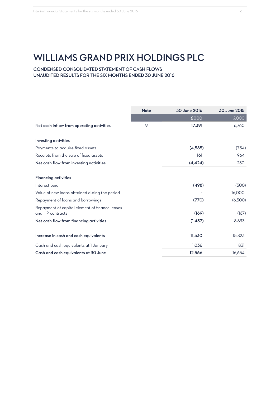## CONDENSED CONSOLIDATED STATEMENT OF CASH FLOWS UNAUDITED RESULTS FOR THE SIX MONTHS ENDED 30 JUNE 2016

|                                                                    | <b>Note</b> | 30 June 2016 | 30 June 2015 |
|--------------------------------------------------------------------|-------------|--------------|--------------|
|                                                                    |             | £000         | £000         |
| Net cash inflow from operating activities                          | 9           | 17,391       | 6,760        |
| Investing activities                                               |             |              |              |
| Payments to acquire fixed assets                                   |             | (4,585)      | (734)        |
| Receipts from the sale of fixed assets                             |             | 161          | 964          |
| Net cash flow from investing activities                            |             | (4, 424)     | 230          |
| <b>Financing activities</b>                                        |             |              |              |
| Interest paid                                                      |             | (498)        | (500)        |
| Value of new loans obtained during the period                      |             |              | 16,000       |
| Repayment of loans and borrowings                                  |             | (770)        | (6,500)      |
| Repayment of capital element of finance leases<br>and HP contracts |             | (169)        | (167)        |
| Net cash flow from financing activities                            |             | (1, 437)     | 8,833        |
| Increase in cash and cash equivalents                              |             | 11,530       | 15,823       |
| Cash and cash equivalents at I January                             |             | 1,036        | 831          |
| Cash and cash equivalents at 30 June                               |             | 12,566       | 16,654       |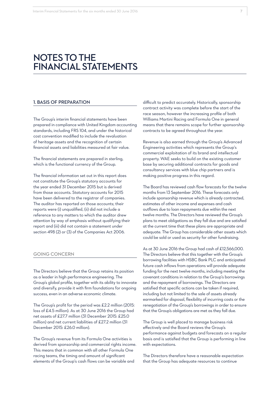## **NOTES TO THE FINANCIAL STATEMENTS**

#### 1. BASIS OF PREPARATION

The Group's interim financial statements have been prepared in compliance with United Kingdom accounting standards, including FRS 104, and under the historical cost convention modified to include the revaluation of heritage assets and the recognition of certain financial assets and liabilities measured at fair value.

The financial statements are prepared in sterling, which is the functional currency of the Group.

The financial information set out in this report does not constitute the Group's statutory accounts for the year ended 31 December 2015 but is derived from those accounts. Statutory accounts for 2015 have been delivered to the registrar of companies. The auditor has reported on those accounts; their reports were (i) unqualified, (ii) did not include a reference to any matters to which the auditor drew attention by way of emphasis without qualifying their report and (iii) did not contain a statement under section 498 (2) or (3) of the Companies Act 2006.

#### GOING CONCERN

The Directors believe that the Group retains its position as a leader in high performance engineering. The Group's global profile, together with its ability to innovate and diversify, provide it with firm foundations for ongoing success, even in an adverse economic climate.

The Group's profit for the period was £2.2 million (2015: loss of £4.5 million). As at 30 June 2016 the Group had net assets of £27.7 million (31 December 2015: £25.0 million) and net current liabilities of £27.2 million (31 December 2015: £26.0 million).

The Group's revenue from its Formula One activities is derived from sponsorship and commercial rights income. This means that in common with all other Formula One racing teams, the timing and amount of significant elements of the Group's cash flows can be variable and

difficult to predict accurately. Historically, sponsorship contract activity was complete before the start of the race season, however the increasing profile of both Williams Martini Racing and Formula One in general means that there remains scope for further sponsorship contracts to be agreed throughout the year.

Revenue is also earned through the Group's Advanced Engineering activities which represents the Group's commercial exploitation of its brand and intellectual property. WAE seeks to build on the existing customer base by securing additional contracts for goods and consultancy services with blue chip partners and is making positive progress in this regard.

The Board has reviewed cash flow forecasts for the twelve months from 13 September 2016. These forecasts only include sponsorship revenue which is already contracted, estimates of other income and expenses and cash outflows due to loan repayments due within the next twelve months. The Directors have reviewed the Group's plans to meet obligations as they fall due and are satisfied at the current time that these plans are appropriate and adequate. The Group has considerable other assets which could be sold or used as security for other fundraising.

As at 30 June 2016 the Group had cash of £12,566,000. The Directors believe that this together with the Group's borrowing facilities with HSBC Bank PLC and anticipated future cash inflows from operations will provide adequate funding for the next twelve months, including meeting the covenant conditions in relation to the Group's borrowings and the repayment of borrowings. The Directors are satisfied that specific actions can be taken if required, including but not limited to the sale of assets already earmarked for disposal, flexibility of incurring costs or the renegotiation of the Group's borrowings in order to ensure that the Group's obligations are met as they fall due.

The Group is well placed to manage business risk effectively and the Board reviews the Group's performance against budgets and forecasts on a regular basis and is satisfied that the Group is performing in line with expectations.

The Directors therefore have a reasonable expectation that the Group has adequate resources to continue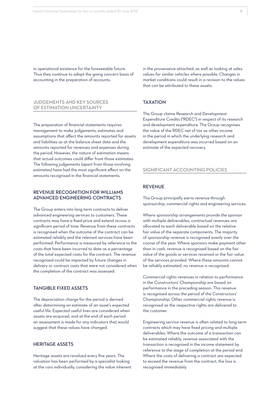in operational existence for the foreseeable future. Thus they continue to adopt the going concern basis of accounting in the preparation of accounts.

## JUDGEMENTS AND KEY SOURCES OF ESTIMATION UNCERTAINTY

The preparation of financial statements requires management to make judgements, estimates and assumptions that affect the amounts reported for assets and liabilities as at the balance sheet date and the amounts reported for revenues and expenses during the period. However, the nature of estimation means that actual outcomes could differ from those estimates. The following judgements (apart from those involving estimates) have had the most significant effect on the amounts recognised in the financial statements.

## REVENUE RECOGNITION FOR WILLIAMS ADVANCED ENGINEERING CONTRACTS

The Group enters into long term contracts to deliver advanced engineering services to customers. These contracts may have a fixed price and extend across a significant period of time. Revenue from these contracts is recognised when the outcome of the contract can be estimated reliably and the relevant services have been performed. Performance is measured by reference to the costs that have been incurred to date as a percentage of the total expected costs for the contract. The revenue recognised could be impacted by future changes in delivery or contract costs that were not considered when the completion of the contract was assessed.

#### TANGIBLE FIXED ASSETS

The depreciation charge for the period is derived after determining an estimate of an asset's expected useful life. Expected useful lives are considered when assets are acquired, and at the end of each period an assessment is made for any indicators that would suggest that these values have changed.

### HERITAGE ASSETS

Heritage assets are revalued every five years. The valuation has been performed by a specialist looking at the cars individually, considering the value inherent in the provenance attached, as well as looking at sales values for similar vehicles where possible. Changes in market conditions could result in a revision to the values that can be attributed to these assets.

## **TAX ATION**

The Group claims Research and Development Expenditure Credits ("RDEC") in respect of its research and development expenditure. The Group recognises the value of the RDEC net of tax as other income in the period in which the underlying research and development expenditure was incurred based on an estimate of the expected recovery.

#### SIGNIFICANT ACCOUNTING POLICIES

## REVENUE

The Group principally earns revenue through sponsorship, commercial rights and engineering services.

Where sponsorship arrangements provide the sponsor with multiple deliverables, contractual revenues are allocated to each deliverable based on the relative fair value of the separate components. The majority of sponsorship revenue is recognised evenly over the course of the year. Where sponsors make payment other than in cash, revenue is recognised based on the fair value of the goods or services received or the fair value of the services provided. Where these amounts cannot be reliably estimated, no revenue is recognised.

Commercial rights revenues in relation to performance in the Constructors' Championship are based on performance in the preceding season. This revenue is recognised across the period of the Constructors' Championship. Other commercial rights revenue is recognised as the respective rights are delivered to the customer.

Engineering service revenue is often related to long term contracts which may have fixed pricing and multiple deliverables. Where the outcome of a transaction can be estimated reliably, revenue associated with the transaction is recognised in the income statement by reference to the stage of completion at the period end. Where the costs of delivering a contract are expected to exceed the revenue from the contract, the loss is recognised immediately.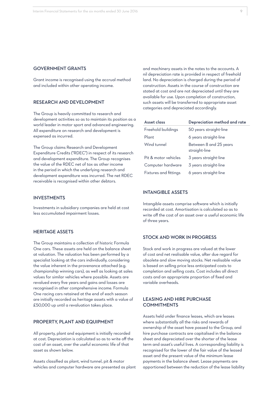#### GOVERNMENT GRANTS

Grant income is recognised using the accrual method and included within other operating income.

## RESEARCH AND DEVELOPMENT

The Group is heavily committed to research and development activities so as to maintain its position as a world leader in motor sport and advanced engineering. All expenditure on research and development is expensed as incurred.

The Group claims Research and Development Expenditure Credits ("RDEC") in respect of its research and development expenditure. The Group recognises the value of the RDEC net of tax as other income in the period in which the underlying research and development expenditure was incurred. The net RDEC receivable is recognised within other debtors.

## INVESTMENTS

Investments in subsidiary companies are held at cost less accumulated impairment losses.

#### HERITAGE ASSETS

The Group maintains a collection of historic Formula One cars. These assets are held on the balance sheet at valuation. The valuation has been performed by a specialist looking at the cars individually, considering the value inherent in the provenance attached (e.g. championship winning cars), as well as looking at sales values for similar vehicles where possible. Assets are revalued every five years and gains and losses are recognised in other comprehensive income. Formula One racing cars retained at the end of each season are initially recorded as heritage assets with a value of £50,000 up until a revaluation takes place.

## PROPERTY, PLANT AND EQUIPMENT

All property, plant and equipment is initially recorded at cost. Depreciation is calculated so as to write off the cost of an asset, over the useful economic life of that asset as shown below.

Assets classified as plant, wind tunnel, pit & motor vehicles and computer hardware are presented as plant and machinery assets in the notes to the accounts. A nil depreciation rate is provided in respect of freehold land. No depreciation is charged during the period of construction. Assets in the course of construction are stated at cost and are not depreciated until they are available for use. Upon completion of construction, such assets will be transferred to appropriate asset categories and depreciated accordingly.

| Asset class           | Depreciation method and rate            |
|-----------------------|-----------------------------------------|
| Freehold buildings    | 50 years straight-line                  |
| Plant                 | 6 years straight-line                   |
| Wind tunnel           | Between 8 and 25 years<br>straight-line |
| Pit & motor vehicles  | 3 years straight-line                   |
| Computer hardware     | 3 years straight-line                   |
| Fixtures and fittings | 6 years straight-line                   |

## INTANGIBLE ASSETS

Intangible assets comprise software which is initially recorded at cost. Amortisation is calculated so as to write off the cost of an asset over a useful economic life of three years.

#### STOCK AND WORK IN PROGRESS

Stock and work in progress are valued at the lower of cost and net realisable value, after due regard for obsolete and slow moving stocks. Net realisable value is based on selling price less anticipated costs to completion and selling costs. Cost includes all direct costs and an appropriate proportion of fixed and variable overheads.

### LEASING AND HIRE PURCHASE **COMMITMENTS**

Assets held under finance leases, which are leases where substantially all the risks and rewards of ownership of the asset have passed to the Group, and hire purchase contracts are capitalised in the balance sheet and depreciated over the shorter of the lease term and asset's useful lives. A corresponding liability is recognised for the lower of the fair value of the leased asset and the present value of the minimum lease payments in the balance sheet. Lease payments are apportioned between the reduction of the lease liability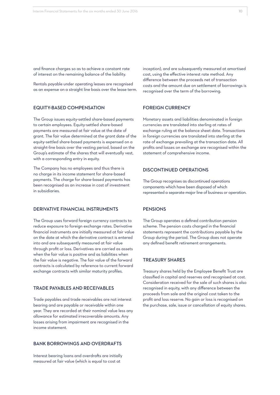and finance charges so as to achieve a constant rate of interest on the remaining balance of the liability.

Rentals payable under operating leases are recognised as an expense on a straight line basis over the lease term.

## EQUITY-BASED COMPENSATION

The Group issues equity-settled share-based payments to certain employees. Equity-settled share-based payments are measured at fair value at the date of grant. The fair value determined at the grant date of the equity-settled share-based payments is expensed on a straight-line basis over the vesting period, based on the Group's estimate of the shares that will eventually vest, with a corresponding entry in equity.

The Company has no employees and thus there is no charge in its income statement for share-based payments. The charge for share-based payments has been recognised as an increase in cost of investment in subsidiaries.

### DERIVATIVE FINANCIAL INSTRUMENTS

The Group uses forward foreign currency contracts to reduce exposure to foreign exchange rates. Derivative financial instruments are initially measured at fair value on the date at which the derivative contract is entered into and are subsequently measured at fair value through profit or loss. Derivatives are carried as assets when the fair value is positive and as liabilities when the fair value is negative. The fair value of the forward contracts is calculated by reference to current forward exchange contracts with similar maturity profiles.

#### TRADE PAYABLES AND RECEIVABLES

Trade payables and trade receivables are not interest bearing and are payable or receivable within one year. They are recorded at their nominal value less any allowance for estimated irrecoverable amounts. Any losses arising from impairment are recognised in the income statement.

#### BANK BORROWINGS AND OVERDRAFTS

Interest bearing loans and overdrafts are initially measured at fair value (which is equal to cost at

inception), and are subsequently measured at amortised cost, using the effective interest rate method. Any difference between the proceeds net of transaction costs and the amount due on settlement of borrowings is recognised over the term of the borrowing.

## FOREIGN CURRENCY

Monetary assets and liabilities denominated in foreign currencies are translated into sterling at rates of exchange ruling at the balance sheet date. Transactions in foreign currencies are translated into sterling at the rate of exchange prevailing at the transaction date. All profits and losses on exchange are recognised within the statement of comprehensive income.

## DISCONTINUED OPERATIONS

The Group recognises as discontinued operations components which have been disposed of which represented a separate major line of business or operation.

## **PENSIONS**

The Group operates a defined contribution pension scheme. The pension costs charged in the financial statements represent the contributions payable by the Group during the period. The Group does not operate any defined benefit retirement arrangements.

## TREASURY SHARES

Treasury shares held by the Employee Benefit Trust are classified in capital and reserves and recognised at cost. Consideration received for the sale of such shares is also recognised in equity, with any difference between the proceeds from sale and the original cost taken to the profit and loss reserve. No gain or loss is recognised on the purchase, sale, issue or cancellation of equity shares.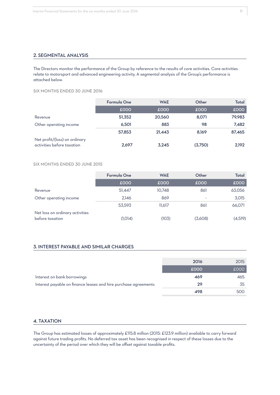## 2. SEGMENTAL ANALYSIS

The Directors monitor the performance of the Group by reference to the results of core activities. Core activities relate to motorsport and advanced engineering activity. A segmental analysis of the Group's performance is attached below.

SIX MONTHS ENDED 30 JUNE 2016

|                                                             | Formula One | <b>WAE</b> | Other   | Total  |
|-------------------------------------------------------------|-------------|------------|---------|--------|
|                                                             | £000        | £000       | £000    | £000   |
| Revenue                                                     | 51,352      | 20,560     | 8,071   | 79,983 |
| Other operating income                                      | 6.501       | 883        | 98      | 7,482  |
|                                                             | 57,853      | 21,443     | 8.169   | 87,465 |
| Net profit/(loss) on ordinary<br>activities before taxation | 2,697       | 3,245      | (3,750) | 2,192  |

## SIX MONTHS ENDED 30 JUNE 2015

|                                                    | <b>Formula One</b> | <b>WAE</b> | Other                    | Total   |
|----------------------------------------------------|--------------------|------------|--------------------------|---------|
|                                                    | £000               | £000       | £000                     | £000    |
| Revenue                                            | 51,447             | 10,748     | 861                      | 63,056  |
| Other operating income                             | 2.146              | 869        | $\overline{\phantom{a}}$ | 3,015   |
|                                                    | 53,593             | 11.617     | 861                      | 66,071  |
| Net loss on ordinary activities<br>before taxation | (1,014)            | (103)      | (3,608)                  | (4,519) |

## 3. INTEREST PAYABLE AND SIMILAR CHARGES

|                                                                 | 2016 | 2015 |
|-----------------------------------------------------------------|------|------|
|                                                                 | £000 | £000 |
| Interest on bank borrowings                                     | 469  | 465  |
| Interest payable on finance leases and hire purchase agreements | 29   | 35   |
|                                                                 | 498  | 500  |

## 4. TAXATION

The Group has estimated losses of approximately £115.8 million (2015: £123.9 million) available to carry forward against future trading profits. No deferred tax asset has been recognised in respect of these losses due to the uncertainty of the period over which they will be offset against taxable profits.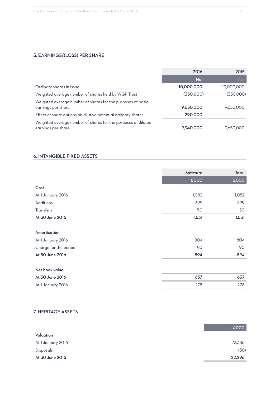## 5. EARNINGS/(LOSS) PER SHARE

|                                                                                     | 2016       | 2015       |
|-------------------------------------------------------------------------------------|------------|------------|
|                                                                                     | No.        | No.        |
| Ordinary shares in issue                                                            | 10,000,000 | 10,000,000 |
| Weighted average number of shares held by WGP Trust                                 | (350,000)  | (350,000)  |
| Weighted average number of shares for the purposes of basic<br>earnings per share   | 9,650,000  | 9,650,000  |
| Effect of share options on dilutive potential ordinary shares                       | 290,000    |            |
| Weighted average number of shares for the purposes of diluted<br>earnings per share | 9,940,000  | 9,650,000  |

## 6. INTANGIBLE FIXED ASSETS

|                       | Software | Total |
|-----------------------|----------|-------|
|                       | £000     | £000  |
|                       |          |       |
| Cost                  |          |       |
| At 1 January 2016     | 1,082    | 1,082 |
| Additions             | 399      | 399   |
| <b>Transfers</b>      | 50       | 50    |
| At 30 June 2016       | 1,531    | 1,531 |
|                       |          |       |
| Amortisation          |          |       |
| At 1 January 2016     | 804      | 804   |
| Charge for the period | 90       | 90    |
| At 30 June 2016       | 894      | 894   |
|                       |          |       |
| Net book value        |          |       |
| At 30 June 2016       | 637      | 637   |
| At 1 January 2016     | 278      | 278   |

## 7. HERITAGE ASSETS

|                   | £000   |
|-------------------|--------|
| Valuation         |        |
| At 1 January 2016 | 22,346 |
| Disposals         | (50)   |
| At 30 June 2016   | 22,296 |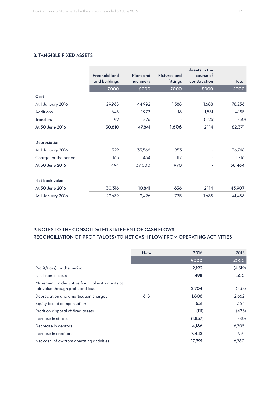## 8. TANGIBLE FIXED ASSETS

|                       | <b>Freehold land</b><br>and buildings | Plant and<br>machinery | <b>Fixtures</b> and<br>fittings | Assets in the<br>course of<br>construction | Total  |
|-----------------------|---------------------------------------|------------------------|---------------------------------|--------------------------------------------|--------|
|                       | £000                                  | £000                   | £000                            | £000                                       | £000   |
| Cost                  |                                       |                        |                                 |                                            |        |
| At 1 January 2016     | 29,968                                | 44,992                 | 1,588                           | 1,688                                      | 78,236 |
| Additions             | 643                                   | 1,973                  | 18                              | 1,551                                      | 4,185  |
| Transfers             | 199                                   | 876                    |                                 | (1,125)                                    | (50)   |
| At 30 June 2016       | 30,810                                | 47,841                 | 1,606                           | 2,114                                      | 82,371 |
| Depreciation          |                                       |                        |                                 |                                            |        |
| At 1 January 2016     | 329                                   | 35,566                 | 853                             |                                            | 36,748 |
| Charge for the period | 165                                   | 1,434                  | 117                             | $\overline{\phantom{a}}$                   | 1,716  |
| At 30 June 2016       | 494                                   | 37,000                 | 970                             | $\overline{\phantom{m}}$                   | 38,464 |
| Net book value        |                                       |                        |                                 |                                            |        |
| At 30 June 2016       | 30,316                                | 10,841                 | 636                             | 2,114                                      | 43,907 |
| At 1 January 2016     | 29,639                                | 9,426                  | 735                             | 1,688                                      | 41,488 |

## 9. NOTES TO THE CONSOLIDATED STATEMENT OF CASH FLOWS RECONCILIATION OF PROFIT/(LOSS) TO NET CASH FLOW FROM OPERATING ACTIVITIES

|                                                                                       | <b>Note</b> | 2016    | 2015    |
|---------------------------------------------------------------------------------------|-------------|---------|---------|
|                                                                                       |             | £000    | £000    |
| Profit/(loss) for the period                                                          |             | 2,192   | (4,519) |
| Net finance costs                                                                     |             | 498     | 500     |
| Movement on derivative financial instruments at<br>fair value through profit and loss |             | 2,704   | (438)   |
| Depreciation and amortisation charges                                                 | 6, 8        | 1,806   | 2,662   |
| Equity based compensation                                                             |             | 531     | 364     |
| Profit on disposal of fixed assets                                                    |             | (111)   | (425)   |
| Increase in stocks                                                                    |             | (1,857) | (80)    |
| Decrease in debtors                                                                   |             | 4,186   | 6,705   |
| Increase in creditors                                                                 |             | 7,442   | 1,991   |
| Net cash inflow from operating activities                                             |             | 17,391  | 6,760   |